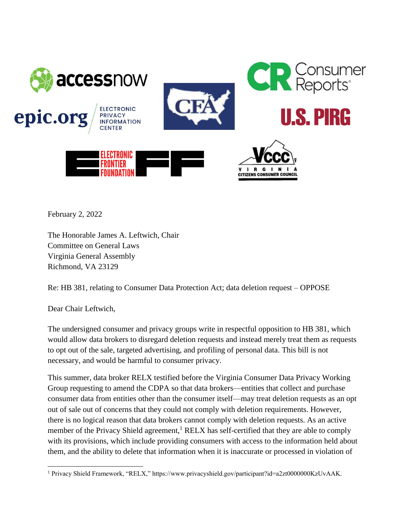

February 2, 2022

The Honorable James A. Leftwich, Chair Committee on General Laws Virginia General Assembly Richmond, VA 23129

Re: HB 381, relating to Consumer Data Protection Act; data deletion request – OPPOSE

Dear Chair Leftwich,

The undersigned consumer and privacy groups write in respectful opposition to HB 381, which would allow data brokers to disregard deletion requests and instead merely treat them as requests to opt out of the sale, targeted advertising, and profiling of personal data. This bill is not necessary, and would be harmful to consumer privacy.

This summer, data broker RELX testified before the Virginia Consumer Data Privacy Working Group requesting to amend the CDPA so that data brokers—entities that collect and purchase consumer data from entities other than the consumer itself—may treat deletion requests as an opt out of sale out of concerns that they could not comply with deletion requirements. However, there is no logical reason that data brokers cannot comply with deletion requests. As an active member of the Privacy Shield agreement,<sup>1</sup> RELX has self-certified that they are able to comply with its provisions, which include providing consumers with access to the information held about them, and the ability to delete that information when it is inaccurate or processed in violation of

 $\overline{a}$ <sup>1</sup> Privacy Shield Framework, "RELX," https://www.privacyshield.gov/participant?id=a2zt0000000KzUvAAK.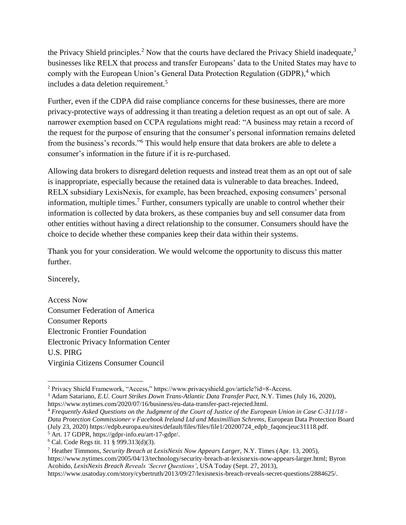the Privacy Shield principles.<sup>2</sup> Now that the courts have declared the Privacy Shield inadequate,<sup>3</sup> businesses like RELX that process and transfer Europeans' data to the United States may have to comply with the European Union's General Data Protection Regulation (GDPR),<sup>4</sup> which includes a data deletion requirement.<sup>5</sup>

Further, even if the CDPA did raise compliance concerns for these businesses, there are more privacy-protective ways of addressing it than treating a deletion request as an opt out of sale. A narrower exemption based on CCPA regulations might read: "A business may retain a record of the request for the purpose of ensuring that the consumer's personal information remains deleted from the business's records."<sup>6</sup> This would help ensure that data brokers are able to delete a consumer's information in the future if it is re-purchased.

Allowing data brokers to disregard deletion requests and instead treat them as an opt out of sale is inappropriate, especially because the retained data is vulnerable to data breaches. Indeed, RELX subsidiary LexisNexis, for example, has been breached, exposing consumers' personal information, multiple times.<sup>7</sup> Further, consumers typically are unable to control whether their information is collected by data brokers, as these companies buy and sell consumer data from other entities without having a direct relationship to the consumer. Consumers should have the choice to decide whether these companies keep their data within their systems.

Thank you for your consideration. We would welcome the opportunity to discuss this matter further.

Sincerely,

Access Now Consumer Federation of America Consumer Reports Electronic Frontier Foundation Electronic Privacy Information Center U.S. PIRG Virginia Citizens Consumer Council

<sup>2</sup> Privacy Shield Framework, "Access," https://www.privacyshield.gov/article?id=8-Access.

<sup>3</sup> Adam Satariano, *E.U. Court Strikes Down Trans-Atlantic Data Transfer Pact*, N.Y. Times (July 16, 2020), https://www.nytimes.com/2020/07/16/business/eu-data-transfer-pact-rejected.html.

<sup>4</sup> *Frequently Asked Questions on the Judgment of the Court of Justice of the European Union in Case C-311/18 - Data Protection Commissioner v Facebook Ireland Ltd and Maximillian Schrems*, European Data Protection Board (July 23, 2020) https://edpb.europa.eu/sites/default/files/files/file1/20200724\_edpb\_faqoncjeuc31118.pdf. <sup>5</sup> Art. 17 GDPR, https://gdpr-info.eu/art-17-gdpr/.

<sup>6</sup> Cal. Code Regs tit. 11 § 999.313(d)(3).

<sup>7</sup> Heather Timmons, *Security Breach at LexisNexis Now Appears Larger,* N.Y. Times (Apr. 13, 2005), https://www.nytimes.com/2005/04/13/technology/security-breach-at-lexisnexis-now-appears-larger.html; Byron Acohido, *LexisNexis Breach Reveals 'Secret Questions'*, USA Today (Sept. 27, 2013), https://www.usatoday.com/story/cybertruth/2013/09/27/lexisnexis-breach-reveals-secret-questions/2884625/.